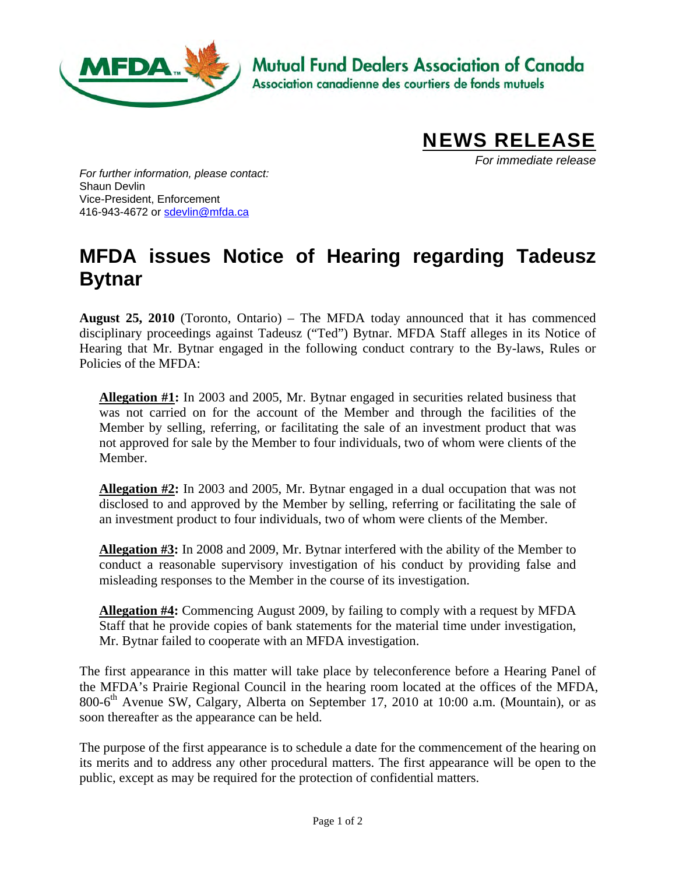

**Mutual Fund Dealers Association of Canada** 

Association canadienne des courtiers de fonds mutuels



*For immediate release* 

*For further information, please contact:*  Shaun Devlin Vice-President, Enforcement 416-943-4672 or [sdevlin@mfda.ca](mailto:sdevlin@mfda.ca) 

## **MFDA issues Notice of Hearing regarding Tadeusz Bytnar**

**August 25, 2010** (Toronto, Ontario) – The MFDA today announced that it has commenced disciplinary proceedings against Tadeusz ("Ted") Bytnar. MFDA Staff alleges in its Notice of Hearing that Mr. Bytnar engaged in the following conduct contrary to the By-laws, Rules or Policies of the MFDA:

**Allegation #1:** In 2003 and 2005, Mr. Bytnar engaged in securities related business that was not carried on for the account of the Member and through the facilities of the Member by selling, referring, or facilitating the sale of an investment product that was not approved for sale by the Member to four individuals, two of whom were clients of the Member.

**Allegation #2:** In 2003 and 2005, Mr. Bytnar engaged in a dual occupation that was not disclosed to and approved by the Member by selling, referring or facilitating the sale of an investment product to four individuals, two of whom were clients of the Member.

**Allegation #3:** In 2008 and 2009, Mr. Bytnar interfered with the ability of the Member to conduct a reasonable supervisory investigation of his conduct by providing false and misleading responses to the Member in the course of its investigation.

**Allegation #4:** Commencing August 2009, by failing to comply with a request by MFDA Staff that he provide copies of bank statements for the material time under investigation, Mr. Bytnar failed to cooperate with an MFDA investigation.

The first appearance in this matter will take place by teleconference before a Hearing Panel of the MFDA's Prairie Regional Council in the hearing room located at the offices of the MFDA, 800-6<sup>th</sup> Avenue SW, Calgary, Alberta on September 17, 2010 at 10:00 a.m. (Mountain), or as soon thereafter as the appearance can be held.

The purpose of the first appearance is to schedule a date for the commencement of the hearing on its merits and to address any other procedural matters. The first appearance will be open to the public, except as may be required for the protection of confidential matters.